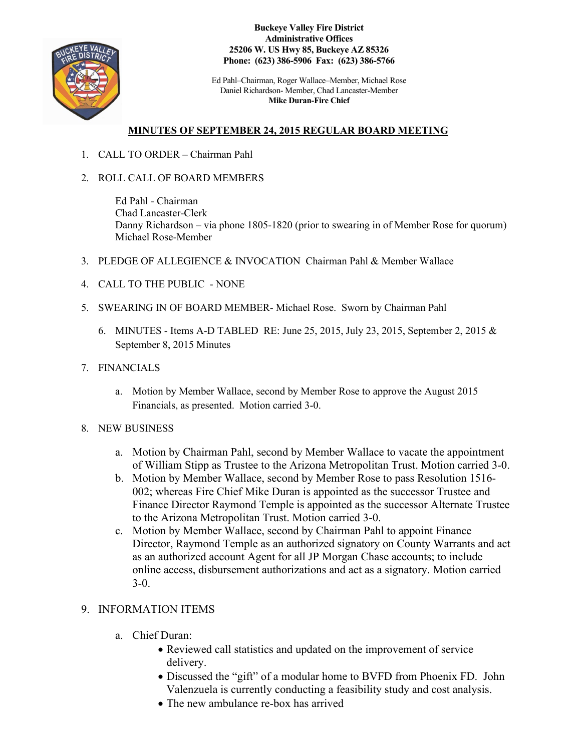

**Buckeye Valley Fire District Administrative Offices 25206 W. US Hwy 85, Buckeye AZ 85326 Phone: (623) 386-5906 Fax: (623) 386-5766**

Ed Pahl–Chairman, Roger Wallace–Member, Michael Rose Daniel Richardson- Member, Chad Lancaster-Member **Mike Duran-Fire Chief**

## **MINUTES OF SEPTEMBER 24, 2015 REGULAR BOARD MEETING**

- 1. CALL TO ORDER Chairman Pahl
- 2. ROLL CALL OF BOARD MEMBERS

Ed Pahl - Chairman Chad Lancaster-Clerk Danny Richardson – via phone 1805-1820 (prior to swearing in of Member Rose for quorum) Michael Rose-Member

- 3. PLEDGE OF ALLEGIENCE & INVOCATION Chairman Pahl & Member Wallace
- 4. CALL TO THE PUBLIC NONE
- 5. SWEARING IN OF BOARD MEMBER- Michael Rose. Sworn by Chairman Pahl
	- 6. MINUTES Items A-D TABLED RE: June 25, 2015, July 23, 2015, September 2, 2015 & September 8, 2015 Minutes
- 7. FINANCIALS
	- a. Motion by Member Wallace, second by Member Rose to approve the August 2015 Financials, as presented. Motion carried 3-0.
- 8. NEW BUSINESS
	- a. Motion by Chairman Pahl, second by Member Wallace to vacate the appointment of William Stipp as Trustee to the Arizona Metropolitan Trust. Motion carried 3-0.
	- b. Motion by Member Wallace, second by Member Rose to pass Resolution 1516- 002; whereas Fire Chief Mike Duran is appointed as the successor Trustee and Finance Director Raymond Temple is appointed as the successor Alternate Trustee to the Arizona Metropolitan Trust. Motion carried 3-0.
	- c. Motion by Member Wallace, second by Chairman Pahl to appoint Finance Director, Raymond Temple as an authorized signatory on County Warrants and act as an authorized account Agent for all JP Morgan Chase accounts; to include online access, disbursement authorizations and act as a signatory. Motion carried 3-0.

## 9. INFORMATION ITEMS

- a. Chief Duran:
	- Reviewed call statistics and updated on the improvement of service delivery.
	- Discussed the "gift" of a modular home to BVFD from Phoenix FD. John Valenzuela is currently conducting a feasibility study and cost analysis.
	- The new ambulance re-box has arrived